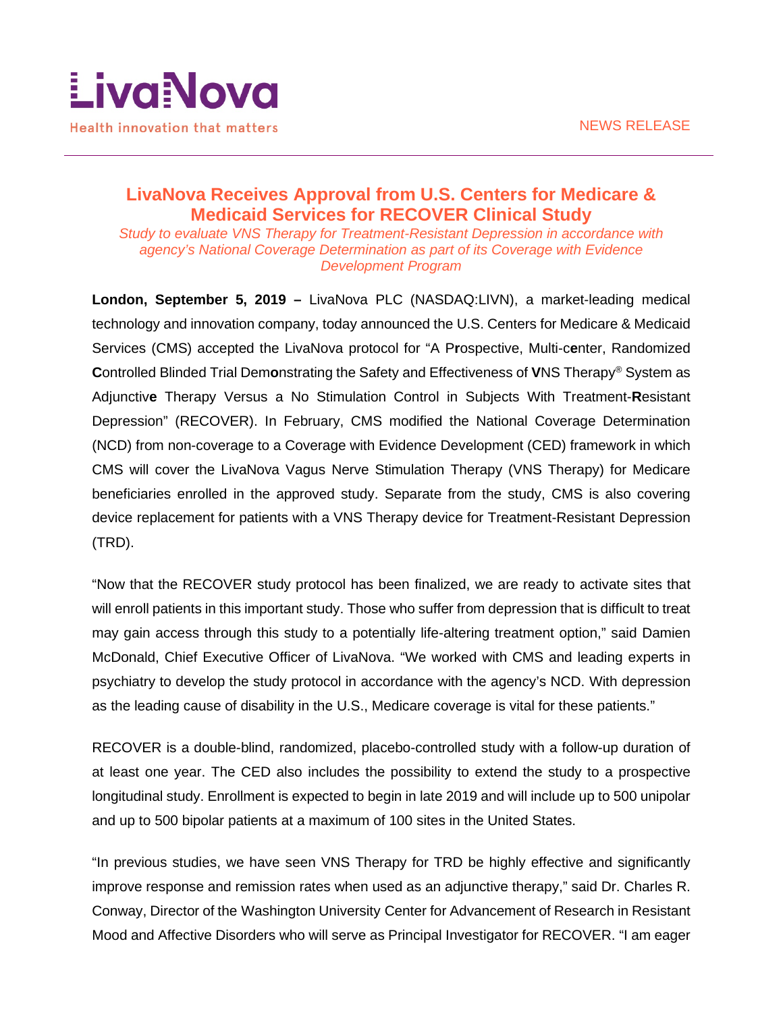

# **LivaNova Receives Approval from U.S. Centers for Medicare & Medicaid Services for RECOVER Clinical Study**

*Study to evaluate VNS Therapy for Treatment-Resistant Depression in accordance with agency's National Coverage Determination as part of its Coverage with Evidence Development Program*

**London, September 5, 2019 –** LivaNova PLC (NASDAQ:LIVN), a market-leading medical technology and innovation company, today announced the U.S. Centers for Medicare & Medicaid Services (CMS) accepted the LivaNova protocol for "A P**r**ospective, Multi-c**e**nter, Randomized **C**ontrolled Blinded Trial Dem**o**nstrating the Safety and Effectiveness of **V**NS Therapy® System as Adjunctiv**e** Therapy Versus a No Stimulation Control in Subjects With Treatment-**R**esistant Depression" (RECOVER). In February, CMS modified the National Coverage Determination (NCD) from non-coverage to a Coverage with Evidence Development (CED) framework in which CMS will cover the LivaNova Vagus Nerve Stimulation Therapy (VNS Therapy) for Medicare beneficiaries enrolled in the approved study. Separate from the study, CMS is also covering device replacement for patients with a VNS Therapy device for Treatment-Resistant Depression (TRD).

"Now that the RECOVER study protocol has been finalized, we are ready to activate sites that will enroll patients in this important study. Those who suffer from depression that is difficult to treat may gain access through this study to a potentially life-altering treatment option," said Damien McDonald, Chief Executive Officer of LivaNova. "We worked with CMS and leading experts in psychiatry to develop the study protocol in accordance with the agency's NCD. With depression as the leading cause of disability in the U.S., Medicare coverage is vital for these patients."

RECOVER is a double-blind, randomized, placebo-controlled study with a follow-up duration of at least one year. The CED also includes the possibility to extend the study to a prospective longitudinal study. Enrollment is expected to begin in late 2019 and will include up to 500 unipolar and up to 500 bipolar patients at a maximum of 100 sites in the United States.

"In previous studies, we have seen VNS Therapy for TRD be highly effective and significantly improve response and remission rates when used as an adjunctive therapy," said Dr. Charles R. Conway, Director of the Washington University Center for Advancement of Research in Resistant Mood and Affective Disorders who will serve as Principal Investigator for RECOVER. "I am eager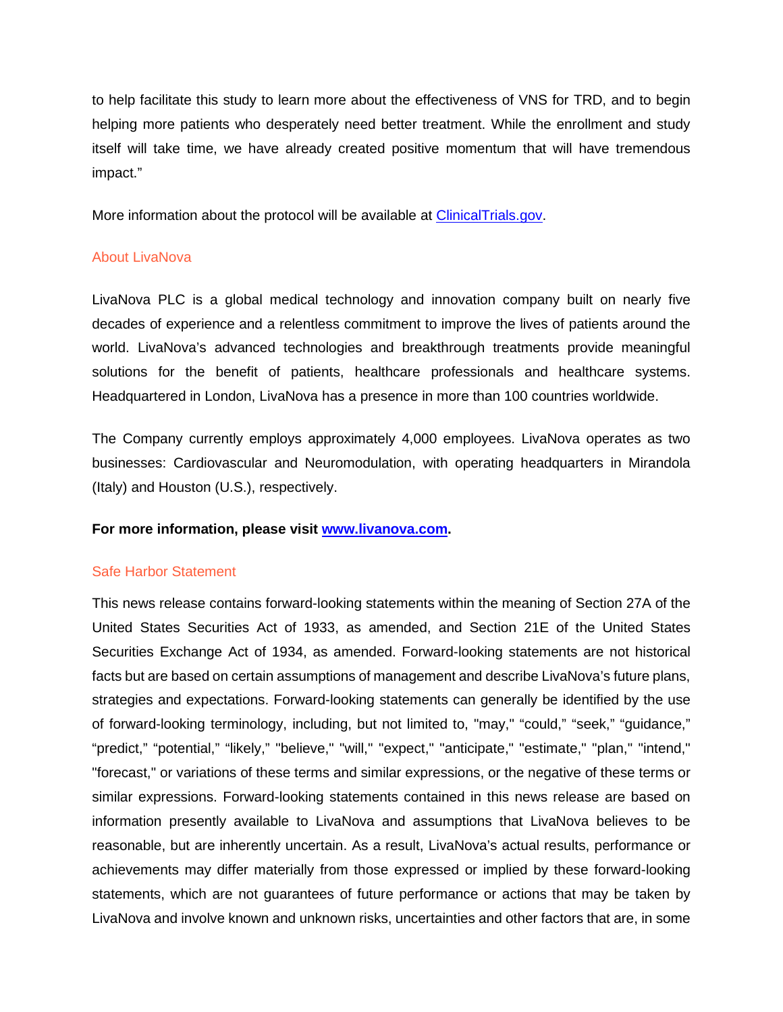to help facilitate this study to learn more about the effectiveness of VNS for TRD, and to begin helping more patients who desperately need better treatment. While the enrollment and study itself will take time, we have already created positive momentum that will have tremendous impact."

More information about the protocol will be available at [ClinicalTrials.gov.](https://www.clinicaltrials.gov/ct2/show/NCT03887715?term=RECOVER%2C+VNS&rank=1)

## About LivaNova

LivaNova PLC is a global medical technology and innovation company built on nearly five decades of experience and a relentless commitment to improve the lives of patients around the world. LivaNova's advanced technologies and breakthrough treatments provide meaningful solutions for the benefit of patients, healthcare professionals and healthcare systems. Headquartered in London, LivaNova has a presence in more than 100 countries worldwide.

The Company currently employs approximately 4,000 employees. LivaNova operates as two businesses: Cardiovascular and Neuromodulation, with operating headquarters in Mirandola (Italy) and Houston (U.S.), respectively.

#### **For more information, please visit [www.livanova.com.](http://www.livanova.com/)**

#### Safe Harbor Statement

This news release contains forward-looking statements within the meaning of Section 27A of the United States Securities Act of 1933, as amended, and Section 21E of the United States Securities Exchange Act of 1934, as amended. Forward-looking statements are not historical facts but are based on certain assumptions of management and describe LivaNova's future plans, strategies and expectations. Forward-looking statements can generally be identified by the use of forward-looking terminology, including, but not limited to, "may," "could," "seek," "guidance," "predict," "potential," "likely," "believe," "will," "expect," "anticipate," "estimate," "plan," "intend," "forecast," or variations of these terms and similar expressions, or the negative of these terms or similar expressions. Forward-looking statements contained in this news release are based on information presently available to LivaNova and assumptions that LivaNova believes to be reasonable, but are inherently uncertain. As a result, LivaNova's actual results, performance or achievements may differ materially from those expressed or implied by these forward-looking statements, which are not guarantees of future performance or actions that may be taken by LivaNova and involve known and unknown risks, uncertainties and other factors that are, in some